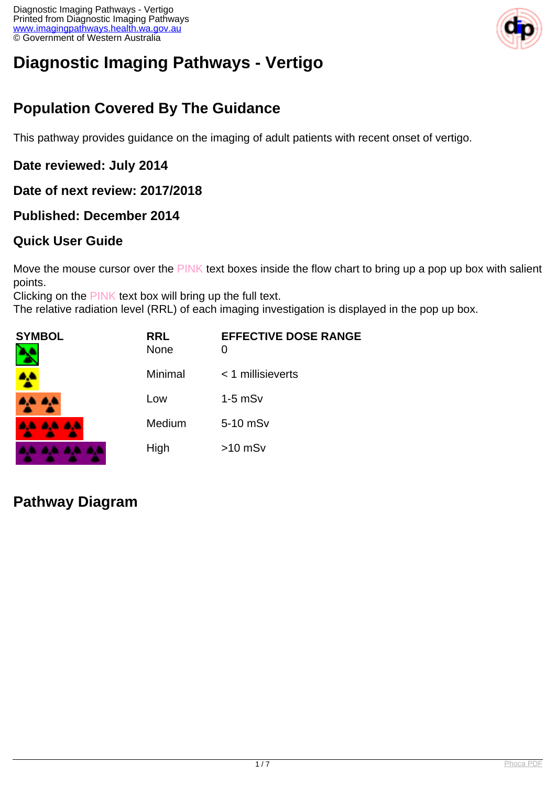

# **Diagnostic Imaging Pathways - Vertigo**

# **Population Covered By The Guidance**

This pathway provides guidance on the imaging of adult patients with recent onset of vertigo.

#### **Date reviewed: July 2014**

**Date of next review: 2017/2018**

#### **Published: December 2014**

#### **Quick User Guide**

Move the mouse cursor over the PINK text boxes inside the flow chart to bring up a pop up box with salient points.

Clicking on the PINK text box will bring up the full text.

The relative radiation level (RRL) of each imaging investigation is displayed in the pop up box.

| <b>SYMBOL</b><br>٦ | <b>RRL</b><br><b>None</b> | <b>EFFECTIVE DOSE RANGE</b><br>0 |
|--------------------|---------------------------|----------------------------------|
|                    | Minimal                   | $<$ 1 millisieverts              |
| A.A. 4,4           | Low                       | $1-5$ mS $v$                     |
| <b>AA AA AA</b>    | Medium                    | 5-10 mSv                         |
| .                  | High                      | $>10$ mSv                        |

#### **Pathway Diagram**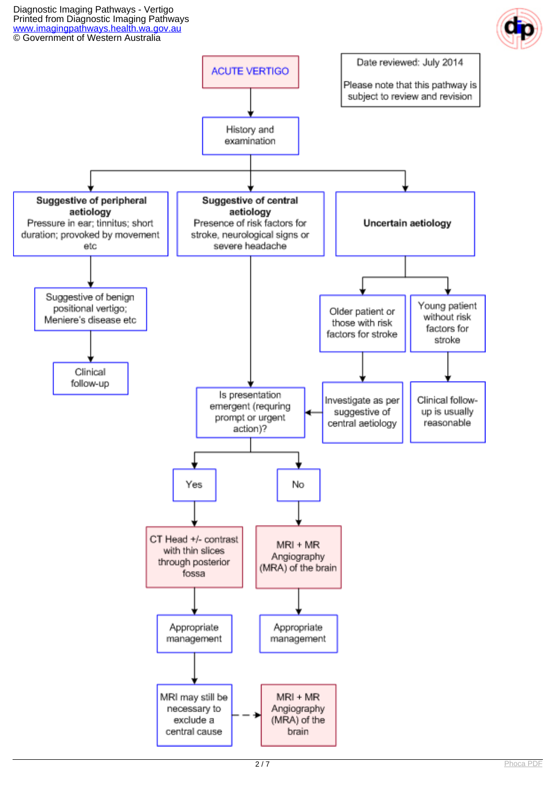Diagnostic Imaging Pathways - Vertigo Printed from Diagnostic Imaging Pathways [www.imagingpathways.health.wa.gov.au](http://www.imagingpathways.health.wa.gov.au/) © Government of Western Australia



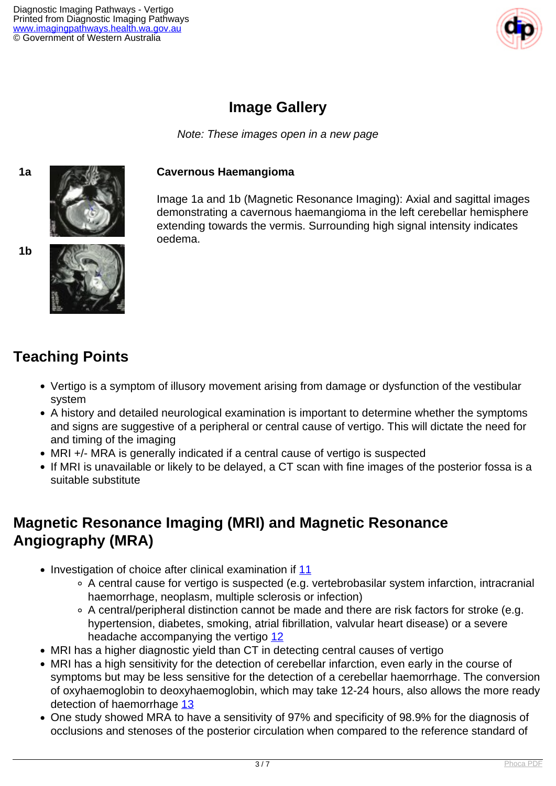

# **Image Gallery**

Note: These images open in a new page





#### **1a Cavernous Haemangioma**

Image 1a and 1b (Magnetic Resonance Imaging): Axial and sagittal images demonstrating a cavernous haemangioma in the left cerebellar hemisphere extending towards the vermis. Surrounding high signal intensity indicates oedema.



# **Teaching Points**

- Vertigo is a symptom of illusory movement arising from damage or dysfunction of the vestibular system
- A history and detailed neurological examination is important to determine whether the symptoms and signs are suggestive of a peripheral or central cause of vertigo. This will dictate the need for and timing of the imaging
- MRI +/- MRA is generally indicated if a central cause of vertigo is suspected
- If MRI is unavailable or likely to be delayed, a CT scan with fine images of the posterior fossa is a suitable substitute

### **Magnetic Resonance Imaging (MRI) and Magnetic Resonance Angiography (MRA)**

- Investigation of choice after clinical examination if [11](index.php?option=com_content&view=article&id=67&tab=references#11)
	- A central cause for vertigo is suspected (e.g. vertebrobasilar system infarction, intracranial haemorrhage, neoplasm, multiple sclerosis or infection)
	- A central/peripheral distinction cannot be made and there are risk factors for stroke (e.g. hypertension, diabetes, smoking, atrial fibrillation, valvular heart disease) or a severe headache accompanying the vertigo [12](index.php?option=com_content&view=article&id=67&tab=references#12)
- MRI has a higher diagnostic yield than CT in detecting central causes of vertigo
- MRI has a high sensitivity for the detection of cerebellar infarction, even early in the course of symptoms but may be less sensitive for the detection of a cerebellar haemorrhage. The conversion of oxyhaemoglobin to deoxyhaemoglobin, which may take 12-24 hours, also allows the more ready detection of haemorrhage [13](index.php?option=com_content&view=article&id=67&tab=references#13)
- One study showed MRA to have a sensitivity of 97% and specificity of 98.9% for the diagnosis of occlusions and stenoses of the posterior circulation when compared to the reference standard of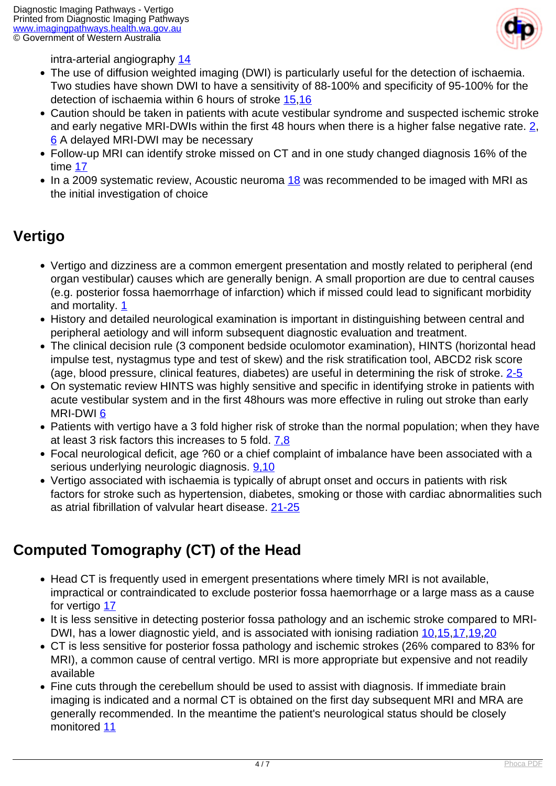

intra-arterial angiography [14](index.php?option=com_content&view=article&id=67&tab=references#14)

- The use of diffusion weighted imaging (DWI) is particularly useful for the detection of ischaemia. Two studies have shown DWI to have a sensitivity of 88-100% and specificity of 95-100% for the detection of ischaemia within 6 hours of stroke [15](index.php?option=com_content&view=article&id=67&tab=references#15)[,16](index.php?option=com_content&view=article&id=67&tab=references#16)
- Caution should be taken in patients with acute vestibular syndrome and suspected ischemic stroke and early negative MRI-DWIs within the first 48 hours when there is a higher false negative rate. [2,](index.php?option=com_content&view=article&id=67&tab=references#2) [6](index.php?option=com_content&view=article&id=67&tab=references#6) A delayed MRI-DWI may be necessary
- Follow-up MRI can identify stroke missed on CT and in one study changed diagnosis 16% of the time [17](index.php?option=com_content&view=article&id=67&tab=references#17)
- $\bullet$  In a 2009 systematic review, Acoustic neuroma [18](index.php?option=com_content&view=article&id=67&tab=references#18) was recommended to be imaged with MRI as the initial investigation of choice

### **Vertigo**

- Vertigo and dizziness are a common emergent presentation and mostly related to peripheral (end organ vestibular) causes which are generally benign. A small proportion are due to central causes (e.g. posterior fossa haemorrhage of infarction) which if missed could lead to significant morbidity and mortality. [1](index.php?option=com_content&view=article&id=67&tab=references#1)
- History and detailed neurological examination is important in distinguishing between central and peripheral aetiology and will inform subsequent diagnostic evaluation and treatment.
- The clinical decision rule (3 component bedside oculomotor examination), HINTS (horizontal head impulse test, nystagmus type and test of skew) and the risk stratification tool, ABCD2 risk score (age, blood pressure, clinical features, diabetes) are useful in determining the risk of stroke. [2-5](index.php?option=com_content&view=article&id=67&tab=references#2)
- On systematic review HINTS was highly sensitive and specific in identifying stroke in patients with acute vestibular system and in the first 48hours was more effective in ruling out stroke than early MRI-DWI [6](index.php?option=com_content&view=article&id=67&tab=references#6)
- Patients with vertigo have a 3 fold higher risk of stroke than the normal population; when they have at least 3 risk factors this increases to 5 fold. [7,8](index.php?option=com_content&view=article&id=67&tab=references#7)
- Focal neurological deficit, age ?60 or a chief complaint of imbalance have been associated with a serious underlying neurologic diagnosis. [9,10](index.php?option=com_content&view=article&id=67&tab=references#9,10)
- Vertigo associated with ischaemia is typically of abrupt onset and occurs in patients with risk factors for stroke such as hypertension, diabetes, smoking or those with cardiac abnormalities such as atrial fibrillation of valvular heart disease. [21-25](index.php?option=com_content&view=article&id=67&tab=references#21)

# **Computed Tomography (CT) of the Head**

- Head CT is frequently used in emergent presentations where timely MRI is not available, impractical or contraindicated to exclude posterior fossa haemorrhage or a large mass as a cause for vertigo [17](index.php?option=com_content&view=article&id=67&tab=references#17)
- It is less sensitive in detecting posterior fossa pathology and an ischemic stroke compared to MRI-DWI, has a lower diagnostic yield, and is associated with ionising radiation [10](index.php?option=com_content&view=article&id=67&tab=references#10)[,15,](index.php?option=com_content&view=article&id=67&tab=references#15)[17](index.php?option=com_content&view=article&id=67&tab=references#17),[19](index.php?option=com_content&view=article&id=67&tab=references#19)[,20](index.php?option=com_content&view=article&id=67&tab=references#20)
- CT is less sensitive for posterior fossa pathology and ischemic strokes (26% compared to 83% for MRI), a common cause of central vertigo. MRI is more appropriate but expensive and not readily available
- Fine cuts through the cerebellum should be used to assist with diagnosis. If immediate brain imaging is indicated and a normal CT is obtained on the first day subsequent MRI and MRA are generally recommended. In the meantime the patient's neurological status should be closely monitored [11](index.php?option=com_content&view=article&id=67&tab=references#11)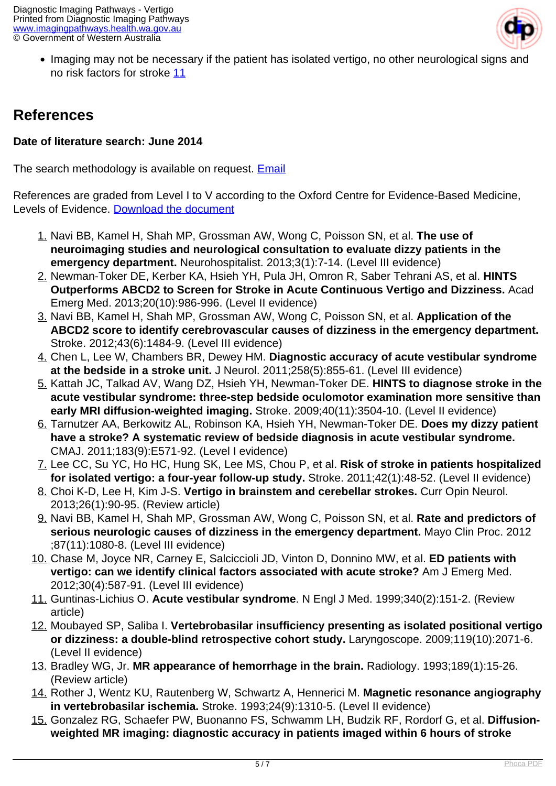

• Imaging may not be necessary if the patient has isolated vertigo, no other neurological signs and no risk factors for stroke [11](index.php?option=com_content&view=article&id=67&tab=references#11)

### **References**

#### **Date of literature search: June 2014**

The search methodology is available on request. [Email](index.php/contact-us)

References are graded from Level I to V according to the Oxford Centre for Evidence-Based Medicine, Levels of Evidence. [Download the document](http://www.cebm.net/wp-content/uploads/2014/06/CEBM-Levels-of-Evidence-2.1.pdf)

- 1. Navi BB, Kamel H, Shah MP, Grossman AW, Wong C, Poisson SN, et al. **The use of neuroimaging studies and neurological consultation to evaluate dizzy patients in the emergency department.** Neurohospitalist. 2013;3(1):7-14. (Level III evidence)
- 2. Newman-Toker DE, Kerber KA, Hsieh YH, Pula JH, Omron R, Saber Tehrani AS, et al. **HINTS Outperforms ABCD2 to Screen for Stroke in Acute Continuous Vertigo and Dizziness.** Acad Emerg Med. 2013;20(10):986-996. (Level II evidence)
- 3. Navi BB, Kamel H, Shah MP, Grossman AW, Wong C, Poisson SN, et al. **Application of the ABCD2 score to identify cerebrovascular causes of dizziness in the emergency department.** Stroke. 2012;43(6):1484-9. (Level III evidence)
- 4. Chen L, Lee W, Chambers BR, Dewey HM. **Diagnostic accuracy of acute vestibular syndrome at the bedside in a stroke unit.** J Neurol. 2011;258(5):855-61. (Level III evidence)
- 5. Kattah JC, Talkad AV, Wang DZ, Hsieh YH, Newman-Toker DE. **HINTS to diagnose stroke in the acute vestibular syndrome: three-step bedside oculomotor examination more sensitive than early MRI diffusion-weighted imaging.** Stroke. 2009;40(11):3504-10. (Level II evidence)
- 6. Tarnutzer AA, Berkowitz AL, Robinson KA, Hsieh YH, Newman-Toker DE. **Does my dizzy patient have a stroke? A systematic review of bedside diagnosis in acute vestibular syndrome.** CMAJ. 2011;183(9):E571-92. (Level I evidence)
- 7. Lee CC, Su YC, Ho HC, Hung SK, Lee MS, Chou P, et al. **Risk of stroke in patients hospitalized for isolated vertigo: a four-year follow-up study.** Stroke. 2011;42(1):48-52. (Level II evidence)
- 8. Choi K-D, Lee H, Kim J-S. **Vertigo in brainstem and cerebellar strokes.** Curr Opin Neurol. 2013;26(1):90-95. (Review article)
- 9. Navi BB, Kamel H, Shah MP, Grossman AW, Wong C, Poisson SN, et al. **Rate and predictors of serious neurologic causes of dizziness in the emergency department.** Mayo Clin Proc. 2012 ;87(11):1080-8. (Level III evidence)
- 10. Chase M, Joyce NR, Carney E, Salciccioli JD, Vinton D, Donnino MW, et al. **ED patients with vertigo: can we identify clinical factors associated with acute stroke?** Am J Emerg Med. 2012;30(4):587-91. (Level III evidence)
- 11. Guntinas-Lichius O. **Acute vestibular syndrome**. N Engl J Med. 1999;340(2):151-2. (Review article)
- 12. Moubayed SP, Saliba I. **Vertebrobasilar insufficiency presenting as isolated positional vertigo or dizziness: a double-blind retrospective cohort study.** Laryngoscope. 2009;119(10):2071-6. (Level II evidence)
- 13. Bradley WG, Jr. **MR appearance of hemorrhage in the brain.** Radiology. 1993;189(1):15-26. (Review article)
- 14. Rother J, Wentz KU, Rautenberg W, Schwartz A, Hennerici M. **Magnetic resonance angiography in vertebrobasilar ischemia.** Stroke. 1993;24(9):1310-5. (Level II evidence)
- 15. Gonzalez RG, Schaefer PW, Buonanno FS, Schwamm LH, Budzik RF, Rordorf G, et al. **Diffusionweighted MR imaging: diagnostic accuracy in patients imaged within 6 hours of stroke**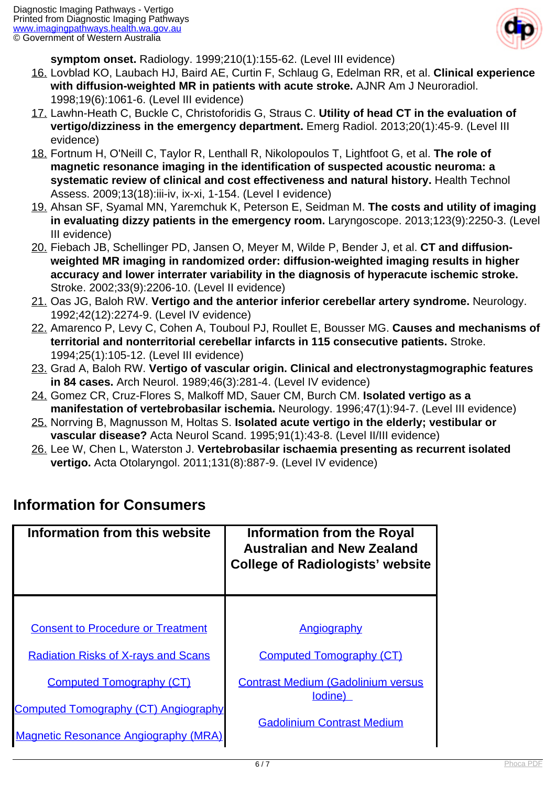

**symptom onset.** Radiology. 1999;210(1):155-62. (Level III evidence)

- 16. Lovblad KO, Laubach HJ, Baird AE, Curtin F, Schlaug G, Edelman RR, et al. **Clinical experience with diffusion-weighted MR in patients with acute stroke.** AJNR Am J Neuroradiol. 1998;19(6):1061-6. (Level III evidence)
- 17. Lawhn-Heath C, Buckle C, Christoforidis G, Straus C. **Utility of head CT in the evaluation of vertigo/dizziness in the emergency department.** Emerg Radiol. 2013;20(1):45-9. (Level III evidence)
- 18. Fortnum H, O'Neill C, Taylor R, Lenthall R, Nikolopoulos T, Lightfoot G, et al. **The role of magnetic resonance imaging in the identification of suspected acoustic neuroma: a systematic review of clinical and cost effectiveness and natural history.** Health Technol Assess. 2009;13(18):iii-iv, ix-xi, 1-154. (Level I evidence)
- 19. Ahsan SF, Syamal MN, Yaremchuk K, Peterson E, Seidman M. **The costs and utility of imaging in evaluating dizzy patients in the emergency room.** Laryngoscope. 2013;123(9):2250-3. (Level III evidence)
- 20. Fiebach JB, Schellinger PD, Jansen O, Meyer M, Wilde P, Bender J, et al. **CT and diffusionweighted MR imaging in randomized order: diffusion-weighted imaging results in higher accuracy and lower interrater variability in the diagnosis of hyperacute ischemic stroke.** Stroke. 2002;33(9):2206-10. (Level II evidence)
- 21. Oas JG, Baloh RW. **Vertigo and the anterior inferior cerebellar artery syndrome.** Neurology. 1992;42(12):2274-9. (Level IV evidence)
- 22. Amarenco P, Levy C, Cohen A, Touboul PJ, Roullet E, Bousser MG. **Causes and mechanisms of territorial and nonterritorial cerebellar infarcts in 115 consecutive patients.** Stroke. 1994;25(1):105-12. (Level III evidence)
- 23. Grad A, Baloh RW. **Vertigo of vascular origin. Clinical and electronystagmographic features in 84 cases.** Arch Neurol. 1989;46(3):281-4. (Level IV evidence)
- 24. Gomez CR, Cruz-Flores S, Malkoff MD, Sauer CM, Burch CM. **Isolated vertigo as a manifestation of vertebrobasilar ischemia.** Neurology. 1996;47(1):94-7. (Level III evidence)
- 25. Norrving B, Magnusson M, Holtas S. **Isolated acute vertigo in the elderly; vestibular or vascular disease?** Acta Neurol Scand. 1995;91(1):43-8. (Level II/III evidence)
- 26. Lee W, Chen L, Waterston J. **Vertebrobasilar ischaemia presenting as recurrent isolated vertigo.** Acta Otolaryngol. 2011;131(8):887-9. (Level IV evidence)

| Information from this website               | <b>Information from the Royal</b><br><b>Australian and New Zealand</b><br><b>College of Radiologists' website</b> |
|---------------------------------------------|-------------------------------------------------------------------------------------------------------------------|
|                                             |                                                                                                                   |
| <b>Consent to Procedure or Treatment</b>    | Angiography                                                                                                       |
| <b>Radiation Risks of X-rays and Scans</b>  | <b>Computed Tomography (CT)</b>                                                                                   |
| <b>Computed Tomography (CT)</b>             | <b>Contrast Medium (Gadolinium versus</b><br>lodine)                                                              |
| <b>Computed Tomography (CT) Angiography</b> |                                                                                                                   |
| <b>Magnetic Resonance Angiography (MRA)</b> | <b>Gadolinium Contrast Medium</b>                                                                                 |

### **Information for Consumers**